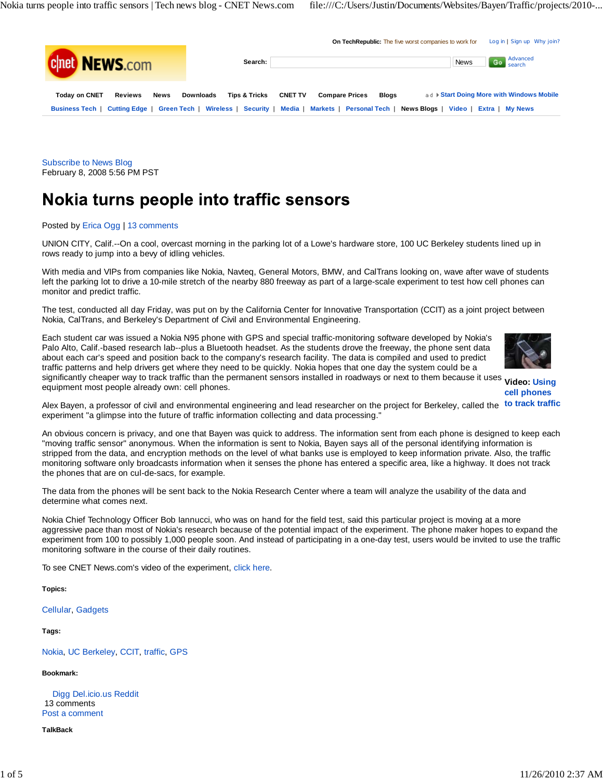

Subscribe to News Blog February 8, 2008 5:56 PM PST

# Nokia turns people into traffic sensors

Posted by Erica Ogg | 13 comments

UNION CITY, Calif.--On a cool, overcast morning in the parking lot of a Lowe's hardware store, 100 UC Berkeley students lined up in rows ready to jump into a bevy of idling vehicles.

With media and VIPs from companies like Nokia, Navteq, General Motors, BMW, and CalTrans looking on, wave after wave of students left the parking lot to drive a 10-mile stretch of the nearby 880 freeway as part of a large-scale experiment to test how cell phones can monitor and predict traffic.

The test, conducted all day Friday, was put on by the California Center for Innovative Transportation (CCIT) as a joint project between Nokia, CalTrans, and Berkeley's Department of Civil and Environmental Engineering.

Each student car was issued a Nokia N95 phone with GPS and special traffic-monitoring software developed by Nokia's Palo Alto, Calif.-based research lab--plus a Bluetooth headset. As the students drove the freeway, the phone sent data about each car's speed and position back to the company's research facility. The data is compiled and used to predict traffic patterns and help drivers get where they need to be quickly. Nokia hopes that one day the system could be a



significantly cheaper way to track traffic than the permanent sensors installed in roadways or next to them because it uses video: Using<br>satisment meet accels classificating sell aboves **cell phones** equipment most people already own: cell phones.

Alex Bayen, a professor of civil and environmental engineering and lead researcher on the project for Berkeley, called the to track traffic experiment "a glimpse into the future of traffic information collecting and data processing."

An obvious concern is privacy, and one that Bayen was quick to address. The information sent from each phone is designed to keep each "moving traffic sensor" anonymous. When the information is sent to Nokia, Bayen says all of the personal identifying information is stripped from the data, and encryption methods on the level of what banks use is employed to keep information private. Also, the traffic monitoring software only broadcasts information when it senses the phone has entered a specific area, like a highway. It does not track the phones that are on cul-de-sacs, for example.

The data from the phones will be sent back to the Nokia Research Center where a team will analyze the usability of the data and determine what comes next.

Nokia Chief Technology Officer Bob Iannucci, who was on hand for the field test, said this particular project is moving at a more aggressive pace than most of Nokia's research because of the potential impact of the experiment. The phone maker hopes to expand the experiment from 100 to possibly 1,000 people soon. And instead of participating in a one-day test, users would be invited to use the traffic monitoring software in the course of their daily routines.

To see CNET News.com's video of the experiment, click here.

**Topics:**

Cellular, Gadgets

**Tags:**

Nokia, UC Berkeley, CCIT, traffic, GPS

# **Bookmark:**

Digg Del.icio.us Reddit 13 comments Post a comment

**TalkBack**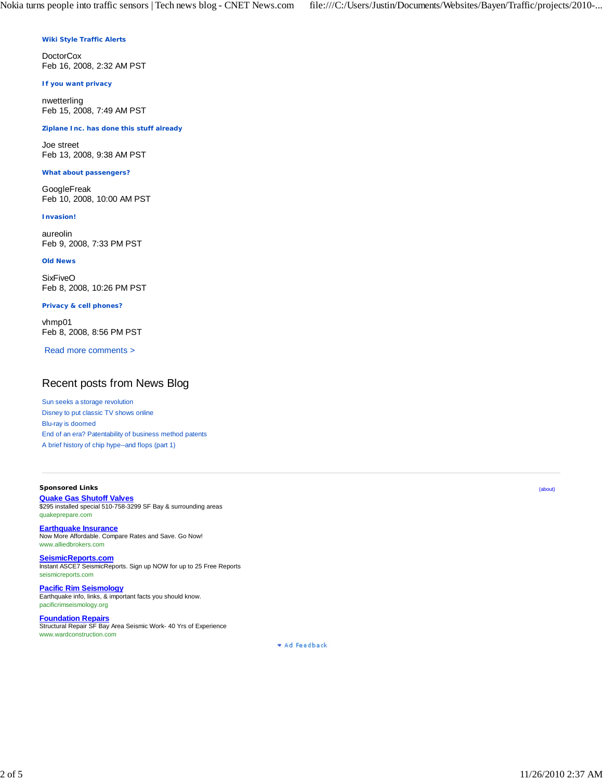## **Wiki Style Traffic Alerts**

**DoctorCox** Feb 16, 2008, 2:32 AM PST

#### **If you want privacy**

nwetterling Feb 15, 2008, 7:49 AM PST

# **Ziplane Inc. has done this stuff already**

Joe street Feb 13, 2008, 9:38 AM PST

#### **What about passengers?**

GoogleFreak Feb 10, 2008, 10:00 AM PST

#### **Invasion!**

aureolin Feb 9, 2008, 7:33 PM PST

#### **Old News**

**SixFiveO** Feb 8, 2008, 10:26 PM PST

#### **Privacy & cell phones?**

vhmp01 Feb 8, 2008, 8:56 PM PST

Read more comments >

# Recent posts from News Blog

Sun seeks a storage revolution Disney to put classic TV shows online Blu-ray is doomed End of an era? Patentability of business method patents A brief history of chip hype--and flops (part 1)

# **Sponsored Links**

**Quake Gas Shutoff Valves** \$295 installed special 510-758-3299 SF Bay & surrounding areas quakeprepare.com

**Earthquake Insurance** Now More Affordable. Compare Rates and Save. Go Now! www.alliedbrokers.com

**SeismicReports.com** Instant ASCE7 SeismicReports. Sign up NOW for up to 25 Free Reports seismicreports.com

**Pacific Rim Seismology** Earthquake info, links, & important facts you should know. pacificrimseismology.org

**Foundation Repairs** Structural Repair SF Bay Area Seismic Work- 40 Yrs of Experience www.wardconstruction.com

\* Ad Feedback

(about)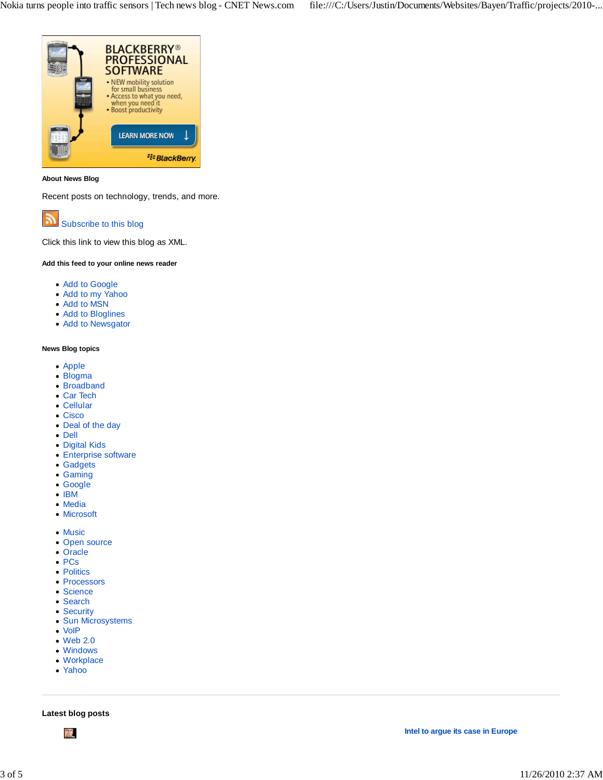

# **About News Blog**

Recent posts on technology, trends, and more.



Click this link to view this blog as XML.

# **Add this feed to your online news reader**

- Add to Google
- Add to my Yahoo
- Add to MSN
- Add to Bloglines
- Add to Newsgator

### **News Blog topics**

- Apple
- Blogma
- Broadband
- Car Tech
- Cellular
- Cisco
- Deal of the day
- Dell
- Digital Kids
- Enterprise software
- Gadgets
- Gaming
- Google
- $\bullet$  IBM
- Media
- Microsoft
- Music
- Open source
- Oracle
- PCs
- Politics
- Processors
- Science
- Search
- Security
- Sun Microsystems
- VoIP
- Web 2.0
- Windows Workplace
- Yahoo
- 

**Latest blog posts**

禐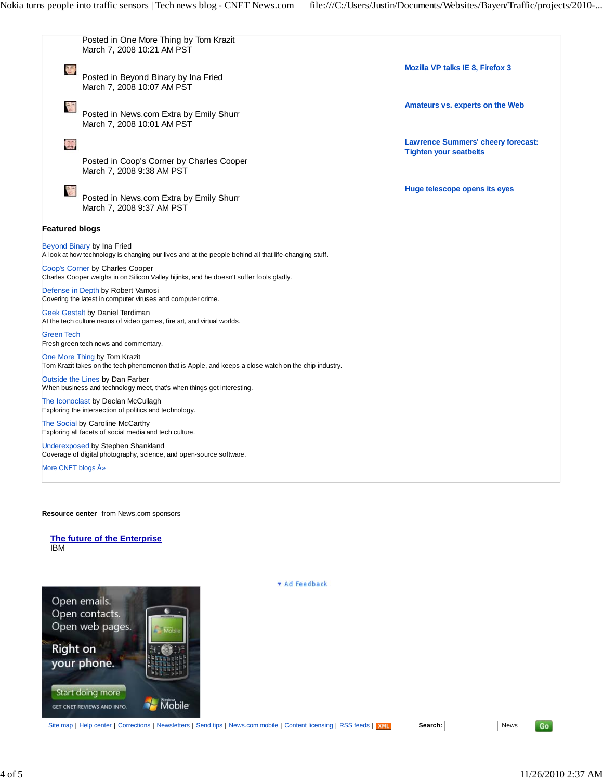

#### **Resource center** from News.com sponsors

**The future of the Enterprise** IBM



**Ad Feedback** 

Site map | Help center | Corrections | Newsletters | Send tips | News.com mobile | Content licensing | RSS feeds | XNL **Search:** News

Go